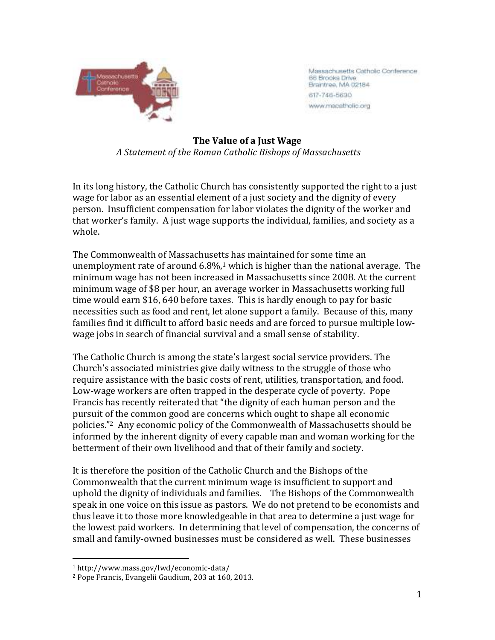

Massachusetts Catholic Conference 66 Brooks Drive Brantree, MA 02184 617-746-5690 www.macatholic.org

**The Value of a Just Wage**  *A Statement of the Roman Catholic Bishops of Massachusetts* 

In its long history, the Catholic Church has consistently supported the right to a just wage for labor as an essential element of a just society and the dignity of every person. Insufficient compensation for labor violates the dignity of the worker and that worker's family. A just wage supports the individual, families, and society as a whole.

The Commonwealth of Massachusetts has maintained for some time an unemployment rate of around  $6.8\%/1$  which is higher than the national average. The minimum wage has not been increased in Massachusetts since 2008. At the current minimum wage of \$8 per hour, an average worker in Massachusetts working full time would earn \$16, 640 before taxes. This is hardly enough to pay for basic necessities such as food and rent, let alone support a family. Because of this, many families find it difficult to afford basic needs and are forced to pursue multiple lowwage jobs in search of financial survival and a small sense of stability.

The Catholic Church is among the state's largest social service providers. The Church's associated ministries give daily witness to the struggle of those who require assistance with the basic costs of rent, utilities, transportation, and food. Low-wage workers are often trapped in the desperate cycle of poverty. Pope Francis has recently reiterated that "the dignity of each human person and the pursuit of the common good are concerns which ought to shape all economic policies."2 Any economic policy of the Commonwealth of Massachusetts should be informed by the inherent dignity of every capable man and woman working for the betterment of their own livelihood and that of their family and society.

It is therefore the position of the Catholic Church and the Bishops of the Commonwealth that the current minimum wage is insufficient to support and uphold the dignity of individuals and families. The Bishops of the Commonwealth speak in one voice on this issue as pastors. We do not pretend to be economists and thus leave it to those more knowledgeable in that area to determine a just wage for the lowest paid workers. In determining that level of compensation, the concerns of small and family-owned businesses must be considered as well. These businesses

<sup>&</sup>lt;u>.</u> <sup>1</sup> http://www.mass.gov/lwd/economic-data/

<sup>2</sup> Pope Francis, Evangelii Gaudium, 203 at 160, 2013.